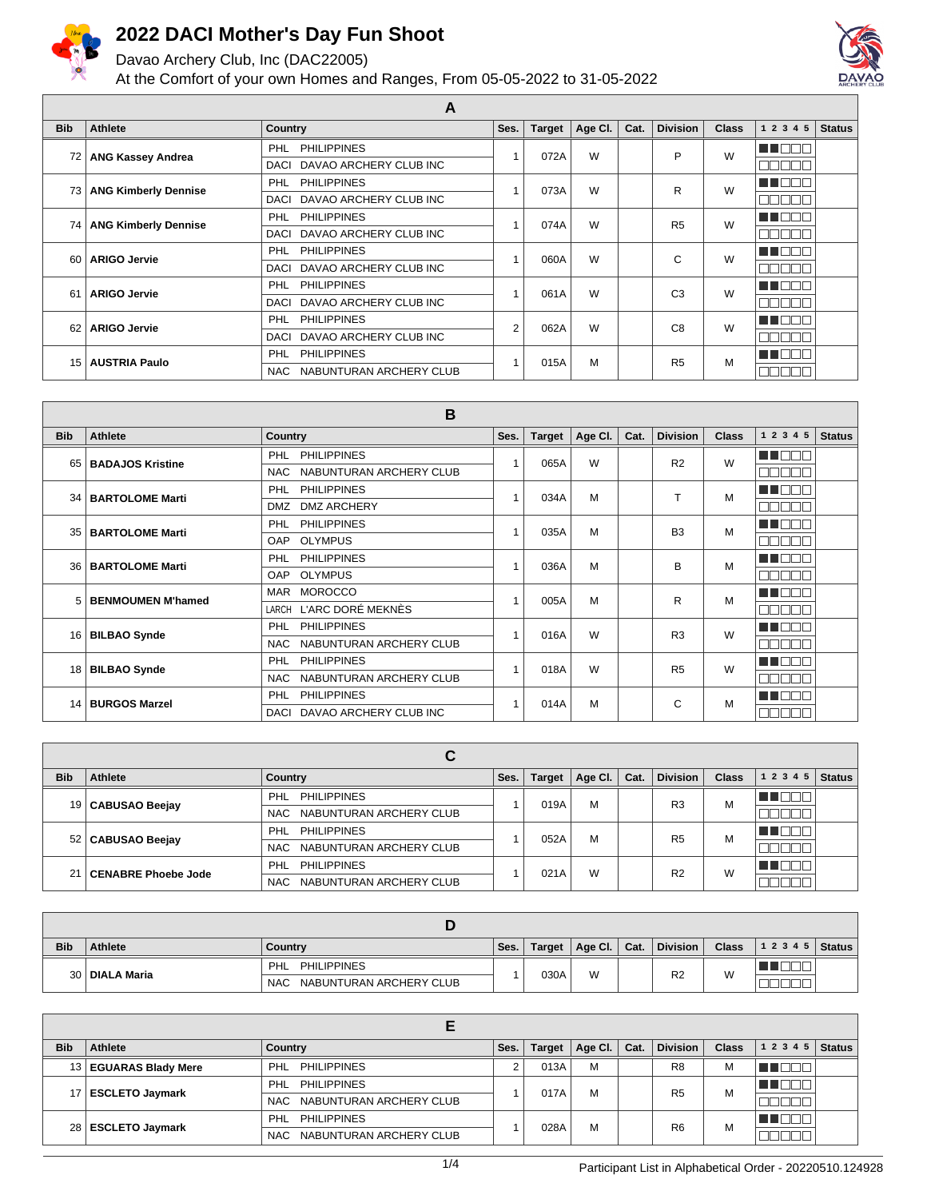

Davao Archery Club, Inc (DAC22005)

At the Comfort of your own Homes and Ranges, From 05-05-2022 to 31-05-2022



|            | $\mathbf{\mathsf{r}}$       |                                       |      |               |         |      |                 |              |             |               |  |
|------------|-----------------------------|---------------------------------------|------|---------------|---------|------|-----------------|--------------|-------------|---------------|--|
| <b>Bib</b> | <b>Athlete</b>              | Country                               | Ses. | <b>Target</b> | Age Cl. | Cat. | <b>Division</b> | <b>Class</b> | 1 2 3 4 5   | <b>Status</b> |  |
| 72         | <b>ANG Kassey Andrea</b>    | <b>PHILIPPINES</b><br><b>PHL</b>      |      | 072A          | W       |      | P               | W            | TI NT       |               |  |
|            |                             | DAVAO ARCHERY CLUB INC<br><b>DACI</b> |      |               |         |      |                 |              | ППI         |               |  |
| 73         |                             | <b>PHILIPPINES</b><br>PHL             |      | 073A          | W       |      | R               | W            |             |               |  |
|            | <b>ANG Kimberly Dennise</b> | DAVAO ARCHERY CLUB INC<br><b>DACI</b> |      |               |         |      |                 |              | ППI         |               |  |
| 74         |                             | <b>PHILIPPINES</b><br>PHL             |      | 074A          | W       |      | R <sub>5</sub>  | W            | a i Fi      |               |  |
|            | <b>ANG Kimberly Dennise</b> | DAVAO ARCHERY CLUB INC<br><b>DACI</b> |      |               |         |      |                 |              | Пſ<br>┓     |               |  |
| 60         | <b>ARIGO Jervie</b>         | <b>PHILIPPINES</b><br>PHL             |      | 060A          | W       |      | C               | W            | n n n n     |               |  |
|            |                             | DAVAO ARCHERY CLUB INC<br><b>DACI</b> |      |               |         |      |                 |              | П<br>┓      |               |  |
| 61         | <b>ARIGO Jervie</b>         | <b>PHILIPPINES</b><br><b>PHL</b>      |      | 061A          | W       |      | C <sub>3</sub>  | W            | TI FIF      |               |  |
|            |                             | DAVAO ARCHERY CLUB INC<br>DACI        |      |               |         |      |                 |              | П<br>┓      |               |  |
| 62         | <b>ARIGO Jervie</b>         | <b>PHL</b><br><b>PHILIPPINES</b>      | 2    | 062A          | W       |      | C <sub>8</sub>  | W            | 70 D D      |               |  |
|            |                             | DAVAO ARCHERY CLUB INC<br><b>DACI</b> |      |               |         |      |                 |              | П<br>┓      |               |  |
| 15         | <b>AUSTRIA Paulo</b>        | <b>PHILIPPINES</b><br><b>PHL</b>      |      |               |         | M    | R <sub>5</sub>  | M            | - I I F     |               |  |
|            |                             | NABUNTURAN ARCHERY CLUB<br>NAC        |      | 015A          |         |      |                 |              | $\Box$<br>╜ |               |  |

**A**

|            | B                        |                                       |      |               |         |      |                 |              |                        |               |  |  |
|------------|--------------------------|---------------------------------------|------|---------------|---------|------|-----------------|--------------|------------------------|---------------|--|--|
| <b>Bib</b> | Athlete                  | <b>Country</b>                        | Ses. | <b>Target</b> | Age CI. | Cat. | <b>Division</b> | <b>Class</b> | 1 2 3 4 5              | <b>Status</b> |  |  |
| 65         | <b>BADAJOS Kristine</b>  | PHL<br><b>PHILIPPINES</b>             |      | 065A          | W       |      | R <sub>2</sub>  | W            | n na m                 |               |  |  |
|            |                          | NABUNTURAN ARCHERY CLUB<br><b>NAC</b> |      |               |         |      |                 |              | ППI<br>- 11            |               |  |  |
| 34         | <b>BARTOLOME Marti</b>   | <b>PHL</b><br><b>PHILIPPINES</b>      |      | 034A          | M       |      | т               | M            | <u> 11 Ini</u>         |               |  |  |
|            |                          | <b>DMZ ARCHERY</b><br><b>DMZ</b>      |      |               |         |      |                 |              | ┓                      |               |  |  |
| 35         | <b>BARTOLOME Marti</b>   | <b>PHILIPPINES</b><br>PHL             |      | 035A          | M       |      | B <sub>3</sub>  | M            | TI NOT                 |               |  |  |
|            |                          | <b>OLYMPUS</b><br>OAP                 |      |               |         |      |                 |              | П<br>┓<br>- II<br>- 11 |               |  |  |
| 36         | <b>BARTOLOME Marti</b>   | <b>PHILIPPINES</b><br><b>PHL</b>      |      | 036A          | M       |      | B               | M            | <u> 11 Mart</u>        |               |  |  |
|            |                          | <b>OLYMPUS</b><br><b>OAP</b>          |      |               |         |      |                 |              | ┓                      |               |  |  |
| 5          | <b>BENMOUMEN M'hamed</b> | <b>MOROCCO</b><br>MAR                 |      | 005A          | M       |      | R               | M            | a ka                   |               |  |  |
|            |                          | LARCH L'ARC DORÉ MEKNÈS               |      |               |         |      |                 |              | ┓<br>╗                 |               |  |  |
| 16         |                          | <b>PHILIPPINES</b><br><b>PHL</b>      |      | 016A          | W       |      | R <sub>3</sub>  | W            | TI FIF<br>┐г           |               |  |  |
|            | <b>BILBAO Synde</b>      | NABUNTURAN ARCHERY CLUB<br><b>NAC</b> |      |               |         |      |                 |              | e e e e l              |               |  |  |
| 18         |                          | <b>PHL</b><br><b>PHILIPPINES</b>      |      | 018A          | W       |      | R <sub>5</sub>  | W            | UU FIFIT               |               |  |  |
|            | <b>BILBAO Synde</b>      | NABUNTURAN ARCHERY CLUB<br><b>NAC</b> |      |               |         |      |                 |              | ППI<br>┓┎              |               |  |  |
|            | 14 BURGOS Marzel         | <b>PHILIPPINES</b><br><b>PHL</b>      |      |               |         | M    | C               | M            | ma mata                |               |  |  |
|            |                          | DAVAO ARCHERY CLUB INC<br><b>DACI</b> |      | 014A          |         |      |                 |              | nnni<br>─∐             |               |  |  |

|            | С                          |                                       |      |               |         |      |                 |              |                                                                                                                                                                                                                                                                                                                                                                                                                              |               |  |
|------------|----------------------------|---------------------------------------|------|---------------|---------|------|-----------------|--------------|------------------------------------------------------------------------------------------------------------------------------------------------------------------------------------------------------------------------------------------------------------------------------------------------------------------------------------------------------------------------------------------------------------------------------|---------------|--|
| <b>Bib</b> | Athlete                    | Country                               | Ses. | <b>Target</b> | Age Cl. | Cat. | <b>Division</b> | <b>Class</b> | 1 2 3 4 5                                                                                                                                                                                                                                                                                                                                                                                                                    | <b>Status</b> |  |
|            | 19   CABUSAO Beejay        | <b>PHILIPPINES</b><br>PHL             |      | 019A          | M       |      | R <sub>3</sub>  | М            | $\mathbf{1} = \mathbf{1} + \mathbf{1} + \mathbf{1} + \mathbf{1} + \mathbf{1} + \mathbf{1} + \mathbf{1} + \mathbf{1} + \mathbf{1} + \mathbf{1} + \mathbf{1} + \mathbf{1} + \mathbf{1} + \mathbf{1} + \mathbf{1} + \mathbf{1} + \mathbf{1} + \mathbf{1} + \mathbf{1} + \mathbf{1} + \mathbf{1} + \mathbf{1} + \mathbf{1} + \mathbf{1} + \mathbf{1} + \mathbf{1} + \mathbf{1} + \mathbf{1} + \mathbf{1} + \mathbf{1} + \mathbf$ |               |  |
|            |                            | NABUNTURAN ARCHERY CLUB<br>NAC.       |      |               |         |      |                 |              |                                                                                                                                                                                                                                                                                                                                                                                                                              |               |  |
|            | 52   CABUSAO Beejay        | <b>PHILIPPINES</b><br>PHL             |      | 052A          | M       |      | R <sub>5</sub>  | M            | THEEL                                                                                                                                                                                                                                                                                                                                                                                                                        |               |  |
|            |                            | NABUNTURAN ARCHERY CLUB<br>NAC.       |      |               |         |      |                 |              |                                                                                                                                                                                                                                                                                                                                                                                                                              |               |  |
|            |                            | <b>PHILIPPINES</b><br><b>PHL</b>      |      |               |         |      | R <sub>2</sub>  | W            |                                                                                                                                                                                                                                                                                                                                                                                                                              |               |  |
|            | <b>CENABRE Phoebe Jode</b> | NABUNTURAN ARCHERY CLUB<br><b>NAC</b> |      | 021A          | W       |      |                 |              |                                                                                                                                                                                                                                                                                                                                                                                                                              |               |  |

| <b>Bib</b> | Athlete          | Country                         | Ses. | <b>Target</b> | Age Cl. $\vert$ | Cat. | <b>Division</b> | <b>Class</b> | $ 1\;2\;3\;4\;5 $ Status |  |
|------------|------------------|---------------------------------|------|---------------|-----------------|------|-----------------|--------------|--------------------------|--|
|            | 30   DIALA Maria | PHILIPPINES<br><b>PHL</b>       |      | 030A          | W               |      | R <sub>2</sub>  | W            | ▝▀█▙▙▃                   |  |
|            |                  | NABUNTURAN ARCHERY CLUB<br>NAC. |      |               |                 |      |                 |              |                          |  |

| <b>Bib</b> | Athlete                 | Country                         | Ses. | <b>Target</b> | Age Cl. | Cat. | <b>Division</b> | <b>Class</b> | 1 2 3 4 5 | <b>Status</b> |
|------------|-------------------------|---------------------------------|------|---------------|---------|------|-----------------|--------------|-----------|---------------|
|            | 13   EGUARAS Blady Mere | PHILIPPINES<br>PHL              |      | 013A          | M       |      | R <sub>8</sub>  | M            |           |               |
|            | 17   ESCLETO Jaymark    | PHILIPPINES<br>PHL              |      | 017A          | M       |      | R <sub>5</sub>  | M            |           |               |
|            |                         | NAC NABUNTURAN ARCHERY CLUB     |      |               |         |      |                 |              |           |               |
|            | 28   ESCLETO Jaymark    | <b>PHILIPPINES</b><br>PHL       |      | 028A          | M       |      | R <sub>6</sub>  | M            |           |               |
|            |                         | NABUNTURAN ARCHERY CLUB<br>NAC. |      |               |         |      |                 |              |           |               |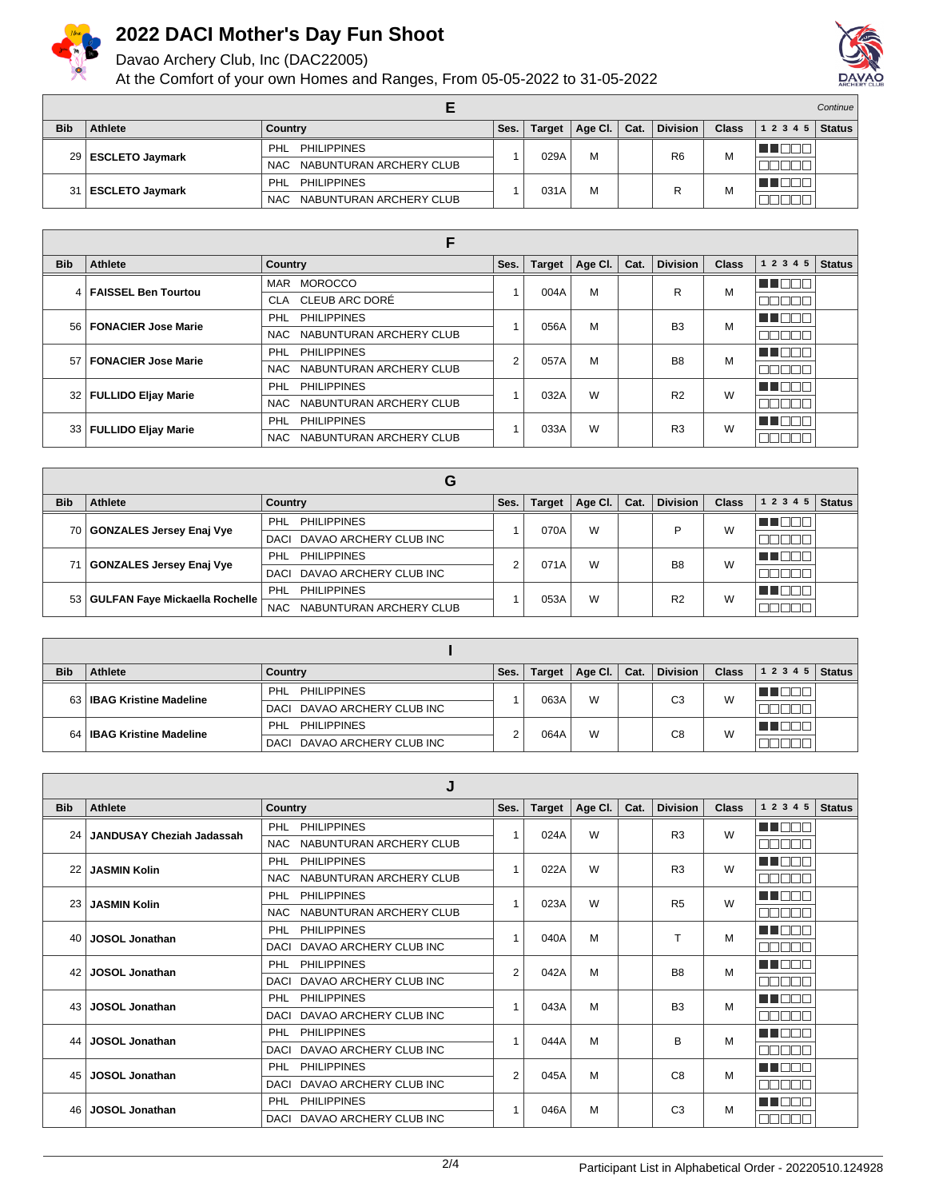

Davao Archery Club, Inc (DAC22005)

At the Comfort of your own Homes and Ranges, From 05-05-2022 to 31-05-2022



|                 |                        |                                 |      |        |         | Continue |                 |              |           |               |
|-----------------|------------------------|---------------------------------|------|--------|---------|----------|-----------------|--------------|-----------|---------------|
| <b>Bib</b>      | Athlete                | Country                         | Ses. | Target | Age Cl. | Cat.     | <b>Division</b> | <b>Class</b> | 1 2 3 4 5 | <b>Status</b> |
|                 | 29 ESCLETO Jaymark     | <b>PHILIPPINES</b><br>PHL       |      |        | M       |          |                 | M            |           |               |
|                 |                        | NAC NABUNTURAN ARCHERY CLUB     |      | 029A   |         |          | R <sub>6</sub>  |              |           |               |
|                 |                        | <b>PHILIPPINES</b><br>PHL       |      | 031A   | M       |          |                 | М            | ∎⊔∟       |               |
| 31 <sup>1</sup> | <b>ESCLETO Jaymark</b> | NABUNTURAN ARCHERY CLUB<br>NAC. |      |        |         |          |                 |              |           |               |

|            | F                        |                                  |      |        |         |      |                 |              |               |               |  |  |
|------------|--------------------------|----------------------------------|------|--------|---------|------|-----------------|--------------|---------------|---------------|--|--|
| <b>Bib</b> | Athlete                  | Country                          | Ses. | Target | Age Cl. | Cat. | <b>Division</b> | <b>Class</b> | 1 2 3 4 5     | <b>Status</b> |  |  |
|            | 4   FAISSEL Ben Tourtou  | <b>MOROCCO</b><br><b>MAR</b>     |      | 004A   | M       |      | R               | М            | n de la C     |               |  |  |
|            |                          | CLA CLEUB ARC DORÉ               |      |        |         |      |                 |              | nnnr          |               |  |  |
|            | 56   FONACIER Jose Marie | <b>PHL</b><br><b>PHILIPPINES</b> |      | 056A   | M       |      | B <sub>3</sub>  | M            | TI NOT        |               |  |  |
|            |                          | NABUNTURAN ARCHERY CLUB<br>NAC   |      |        |         |      |                 |              | 700 D.D       |               |  |  |
|            | 57   FONACIER Jose Marie | <b>PHL</b><br><b>PHILIPPINES</b> | 2    | 057A   | м       |      | B8              | M            | <b>THEFT.</b> |               |  |  |
|            |                          | NABUNTURAN ARCHERY CLUB<br>NAC   |      |        |         |      |                 |              | חרורור        |               |  |  |
|            | 32   FULLIDO Eljay Marie | <b>PHILIPPINES</b><br><b>PHL</b> |      | 032A   | W       |      | R <sub>2</sub>  | W            | <b>THEFT</b>  |               |  |  |
|            |                          | NABUNTURAN ARCHERY CLUB<br>NAC   |      |        |         |      |                 |              | والماليات     |               |  |  |
|            | 33   FULLIDO Eljay Marie | <b>PHILIPPINES</b><br><b>PHL</b> |      | 033A   |         | W    | R3              | W            | a a mara      |               |  |  |
|            |                          | NABUNTURAN ARCHERY CLUB<br>NAC   |      |        |         |      |                 |              | 3000a         |               |  |  |

|            | G                                   |                                       |      |               |         |      |                 |              |           |               |  |
|------------|-------------------------------------|---------------------------------------|------|---------------|---------|------|-----------------|--------------|-----------|---------------|--|
| <b>Bib</b> | Athlete                             | Country                               | Ses. | <b>Target</b> | Age Cl. | Cat. | <b>Division</b> | <b>Class</b> | 1 2 3 4 5 | <b>Status</b> |  |
|            | 70 GONZALES Jersey Enaj Vye         | <b>PHILIPPINES</b><br>PHL             |      | 070A          | W       |      | ▫               | W            |           |               |  |
|            |                                     | DAVAO ARCHERY CLUB INC<br>DACI        |      |               |         |      |                 |              |           |               |  |
|            | 71   GONZALES Jersey Enaj Vye       | <b>PHILIPPINES</b><br>PHL             |      | 071A          | W       |      | B <sub>8</sub>  | W            |           |               |  |
|            |                                     | DAVAO ARCHERY CLUB INC<br><b>DACI</b> |      |               |         |      |                 |              |           |               |  |
|            | 53   GULFAN Faye Mickaella Rochelle | <b>PHILIPPINES</b><br><b>PHL</b>      |      | 053A          | W       |      | R <sub>2</sub>  | W            |           |               |  |
|            |                                     | NABUNTURAN ARCHERY CLUB<br><b>NAC</b> |      |               |         |      |                 |              |           |               |  |

| <b>Bib</b> | Athlete                     | Country                        | Ses. | <b>Target</b> | Age Cl.   Cat. | <b>Division</b> | <b>Class</b> | 1 2 3 4 5 | <b>Status</b> |
|------------|-----------------------------|--------------------------------|------|---------------|----------------|-----------------|--------------|-----------|---------------|
|            | 63   IBAG Kristine Madeline | PHL PHILIPPINES                |      | 063A          | W              | C3              | W            |           |               |
|            |                             | DACI DAVAO ARCHERY CLUB INC    |      |               |                |                 |              |           |               |
|            | 64   IBAG Kristine Madeline | PHILIPPINES<br>PHL             |      | 064A          | W              | C8              | W            |           |               |
|            |                             | DAVAO ARCHERY CLUB INC<br>DACI |      |               |                |                 |              |           |               |

|                 | J                                |                                       |                |               |         |                |                 |       |               |               |  |
|-----------------|----------------------------------|---------------------------------------|----------------|---------------|---------|----------------|-----------------|-------|---------------|---------------|--|
| <b>Bib</b>      | <b>Athlete</b>                   | <b>Country</b>                        | Ses.           | <b>Target</b> | Age Cl. | Cat.           | <b>Division</b> | Class | 1 2 3 4 5     | <b>Status</b> |  |
| 24              | <b>JANDUSAY Cheziah Jadassah</b> | <b>PHILIPPINES</b><br>PHL             |                | 024A          | W       |                | R <sub>3</sub>  | W     | <b>READER</b> |               |  |
|                 |                                  | NABUNTURAN ARCHERY CLUB<br>NAC.       |                |               |         |                |                 |       | nnnnn         |               |  |
|                 | <b>JASMIN Kolin</b>              | <b>PHILIPPINES</b><br><b>PHL</b>      |                | 022A          | W       |                | R <sub>3</sub>  | W     | TE ELECT      |               |  |
|                 |                                  | <b>NAC</b><br>NABUNTURAN ARCHERY CLUB |                |               |         |                |                 |       | nnnnn         |               |  |
| 23              | <b>JASMIN Kolin</b>              | <b>PHILIPPINES</b><br><b>PHL</b>      |                | 023A          | W       |                | R <sub>5</sub>  | W     | E E O O C     |               |  |
|                 |                                  | NABUNTURAN ARCHERY CLUB<br>NAC.       |                |               |         |                |                 |       | mmmmm         |               |  |
| 40              | <b>JOSOL Jonathan</b>            | <b>PHILIPPINES</b><br>PHL             |                | 040A          | M       |                | т               | M     | I DOT         |               |  |
|                 |                                  | DAVAO ARCHERY CLUB INC<br><b>DACI</b> |                |               |         |                |                 |       | nnnn          |               |  |
| 42 <sub>1</sub> | <b>JOSOL Jonathan</b>            | <b>PHILIPPINES</b><br>PHL             | $\overline{2}$ | 042A          | M       |                | B <sub>8</sub>  | M     | ma mar        |               |  |
|                 |                                  | DAVAO ARCHERY CLUB INC<br><b>DACI</b> |                |               |         |                |                 |       | Ш.            |               |  |
| 43              | <b>JOSOL Jonathan</b>            | <b>PHILIPPINES</b><br>PHL             |                | 043A          | M       |                | <b>B3</b>       | M     | TIN DIT       |               |  |
|                 |                                  | DAVAO ARCHERY CLUB INC<br>DACI        |                |               |         |                |                 |       |               |               |  |
| 44              | <b>JOSOL Jonathan</b>            | <b>PHILIPPINES</b><br>PHL             |                | 044A          | M       |                | в               | M     | <b>HELL</b>   |               |  |
|                 |                                  | DAVAO ARCHERY CLUB INC<br>DACI        |                |               |         |                |                 |       | n ni<br>TOT   |               |  |
| 45              | <b>JOSOL Jonathan</b>            | <b>PHILIPPINES</b><br><b>PHL</b>      | $\overline{2}$ | 045A          | M       |                | C <sub>8</sub>  | M     | man man       |               |  |
|                 |                                  | DAVAO ARCHERY CLUB INC<br>DACI        |                |               |         |                |                 |       | ooooo         |               |  |
| 46              | <b>JOSOL Jonathan</b>            | <b>PHILIPPINES</b><br><b>PHL</b>      |                | 046A          | M       | C <sub>3</sub> |                 | M     | man man       |               |  |
|                 |                                  | DAVAO ARCHERY CLUB INC<br>DACI        |                |               |         |                |                 |       | nnnn          |               |  |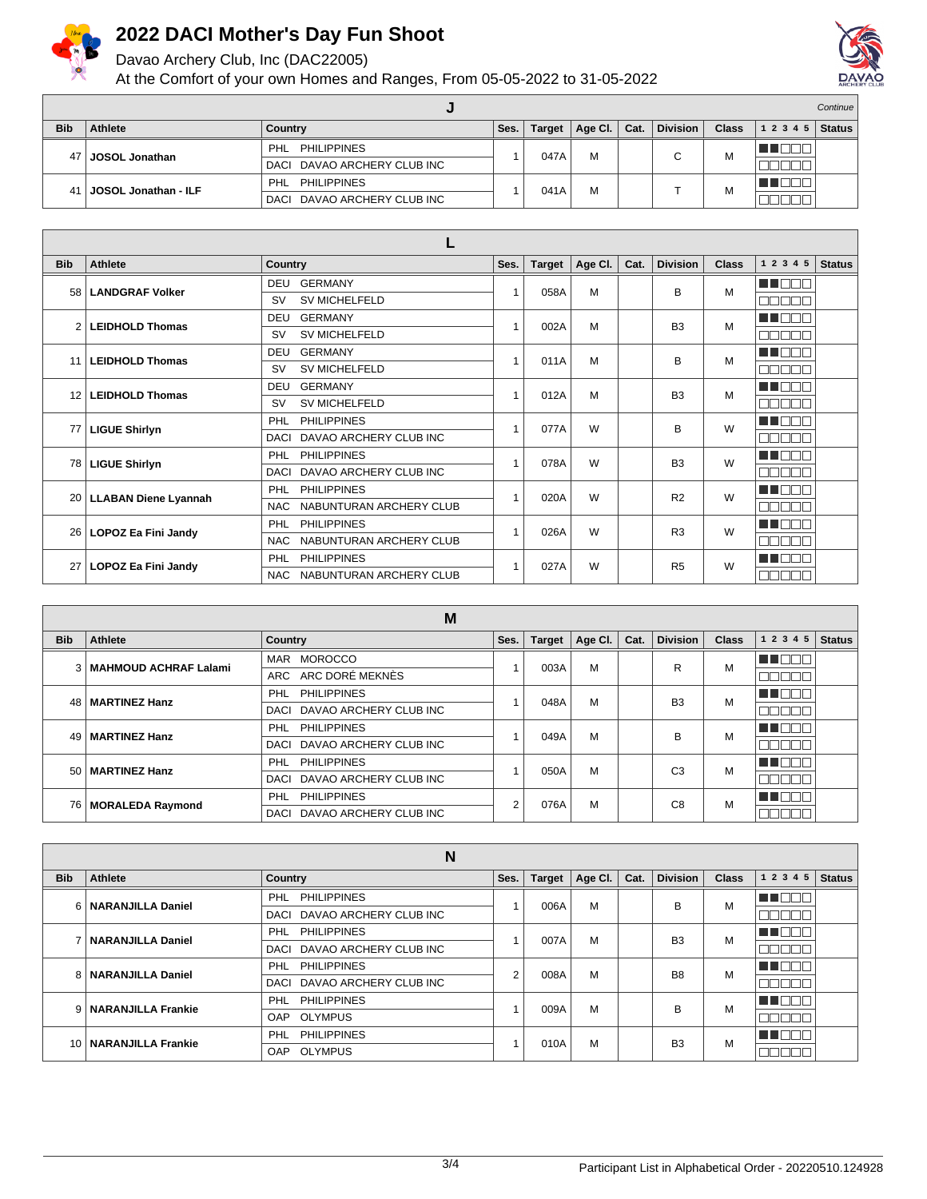

Davao Archery Club, Inc (DAC22005)

At the Comfort of your own Homes and Ranges, From 05-05-2022 to 31-05-2022



|                 |                             |                                |      |               |         |      |                 |              |                | Continue |
|-----------------|-----------------------------|--------------------------------|------|---------------|---------|------|-----------------|--------------|----------------|----------|
| <b>Bib</b>      | <b>Athlete</b>              | Country                        | Ses. | <b>Target</b> | Age Cl. | Cat. | <b>Division</b> | <b>Class</b> | $12345$ Status |          |
| 47 I            | JOSOL Jonathan              | <b>PHILIPPINES</b><br>PHL      |      | 047A          | м       |      | ⌒               | M            | - 1 L I        |          |
|                 |                             | DAVAO ARCHERY CLUB INC<br>DACI |      |               |         |      |                 |              |                |          |
| 41 <sup>1</sup> | <b>JOSOL Jonathan - ILF</b> | PHL<br><b>PHILIPPINES</b>      |      | 041A          | M       |      |                 | М            | ◼◡             |          |
|                 |                             | DAVAO ARCHERY CLUB INC<br>DACI |      |               |         |      |                 |              |                |          |

| <b>Bib</b>      | <b>Athlete</b>             | Country                               | Ses.           | <b>Target</b> | Age Cl. | Cat. | <b>Division</b> | <b>Class</b> | 1 2 3 4 5        | <b>Status</b> |
|-----------------|----------------------------|---------------------------------------|----------------|---------------|---------|------|-----------------|--------------|------------------|---------------|
| 58 <sup>1</sup> | <b>LANDGRAF Volker</b>     | <b>GERMANY</b><br>DEU                 |                | 058A          | M       |      | B               | M            | MA DE E          |               |
|                 |                            | <b>SV MICHELFELD</b><br><b>SV</b>     |                |               |         |      |                 |              | nn na            |               |
| 2               | <b>LEIDHOLD Thomas</b>     | <b>GERMANY</b><br><b>DEU</b>          | 4              | 002A          | M       |      | B <sub>3</sub>  | M            | <b>REFERENCE</b> |               |
|                 |                            | <b>SV MICHELFELD</b><br><b>SV</b>     |                |               |         |      |                 |              | e e e e e        |               |
| 11              | <b>LEIDHOLD Thomas</b>     | <b>GERMANY</b><br><b>DEU</b>          |                | 011A          | M       |      | B               | M            | M BE S           |               |
|                 |                            | <b>SV MICHELFELD</b><br><b>SV</b>     |                |               |         |      |                 |              | nnnnn            |               |
| 12              | <b>LEIDHOLD Thomas</b>     | <b>GERMANY</b><br><b>DEU</b>          |                | 012A          | M       |      | B <sub>3</sub>  | M            | man man          |               |
|                 |                            | <b>SV MICHELFELD</b><br><b>SV</b>     |                |               |         |      |                 |              | noooo            |               |
| 77              | <b>LIGUE Shirlyn</b>       | <b>PHILIPPINES</b><br>PHL             | $\overline{1}$ | 077A          | W       |      | B               | W            | n de c           |               |
|                 |                            | DAVAO ARCHERY CLUB INC<br><b>DACI</b> |                |               |         |      |                 |              | nn nn n          |               |
| 78 I            | <b>LIGUE Shirlyn</b>       | <b>PHILIPPINES</b><br>PHL             |                | 078A          | W       |      | B <sub>3</sub>  | W            | man man          |               |
|                 |                            | DAVAO ARCHERY CLUB INC<br>DACI        |                |               |         |      |                 |              | nnnn             |               |
|                 | 20   LLABAN Diene Lyannah  | <b>PHILIPPINES</b><br>PHL             |                | 020A          | W       |      | R <sub>2</sub>  | W            | MA NAT           |               |
|                 |                            | NABUNTURAN ARCHERY CLUB<br><b>NAC</b> |                |               |         |      |                 |              | <b>RRADER</b>    |               |
| 261             | LOPOZ Ea Fini Jandy        | <b>PHILIPPINES</b><br><b>PHL</b>      | $\overline{1}$ | 026A          | W       |      | R <sub>3</sub>  | W            | UN DELL'         |               |
|                 |                            | NABUNTURAN ARCHERY CLUB<br><b>NAC</b> |                |               |         |      |                 |              | nnnn             |               |
| 27              | <b>LOPOZ Ea Fini Jandy</b> | <b>PHILIPPINES</b><br>PHL             |                | 027A          | W       |      | R <sub>5</sub>  | W            | n n n n          |               |
|                 |                            | NABUNTURAN ARCHERY CLUB<br>NAC.       |                |               |         |      |                 |              | nn nn n          |               |

|            | M                         |                                  |      |               |         |      |                 |              |             |               |  |
|------------|---------------------------|----------------------------------|------|---------------|---------|------|-----------------|--------------|-------------|---------------|--|
| <b>Bib</b> | Athlete                   | Country                          | Ses. | <b>Target</b> | Age CI. | Cat. | <b>Division</b> | <b>Class</b> | 1 2 3 4 5   | <b>Status</b> |  |
|            | 3   MAHMOUD ACHRAF Lalami | <b>MOROCCO</b><br><b>MAR</b>     |      | 003A          | м       |      | R               | M            | TE EL       |               |  |
|            |                           | ARC DORÉ MEKNÈS<br>ARC           |      |               |         |      |                 |              | ┐г          |               |  |
|            | 48   MARTINEZ Hanz        | <b>PHILIPPINES</b><br><b>PHL</b> |      | 048A          | M       |      | B <sub>3</sub>  | M            | TOOL        |               |  |
|            |                           | DACI DAVAO ARCHERY CLUB INC      |      |               |         |      |                 |              | ╖           |               |  |
|            | 49   MARTINEZ Hanz        | <b>PHILIPPINES</b><br>PHL        |      | 049A          |         | M    | B               | M            | TE ELECT    |               |  |
|            |                           | DAVAO ARCHERY CLUB INC<br>DACI   |      |               |         |      |                 |              | - 11        |               |  |
|            |                           | <b>PHILIPPINES</b><br><b>PHL</b> |      | 050A          | M       |      | C <sub>3</sub>  | M            | TE ET<br>⊣г |               |  |
|            | 50   MARTINEZ Hanz        | DACI DAVAO ARCHERY CLUB INC      |      |               |         |      |                 |              |             |               |  |
|            | 76   MORALEDA Raymond     | <b>PHILIPPINES</b><br>PHL        | 2    | 076A          | M       |      | C <sub>8</sub>  | M            | un mar      |               |  |
|            |                           | DACI DAVAO ARCHERY CLUB INC      |      |               |         |      |                 |              | - II        |               |  |

|            | N                       |                                          |      |               |         |                |                 |              |           |               |  |
|------------|-------------------------|------------------------------------------|------|---------------|---------|----------------|-----------------|--------------|-----------|---------------|--|
| <b>Bib</b> | Athlete                 | <b>Country</b>                           | Ses. | <b>Target</b> | Age CI. | Cat.           | <b>Division</b> | <b>Class</b> | 1 2 3 4 5 | <b>Status</b> |  |
|            | 6   NARANJILLA Daniel   | PHL<br><b>PHILIPPINES</b>                |      | 006A          | M       |                | в               | M            | T N       |               |  |
|            |                         | DAVAO ARCHERY CLUB INC<br>DACI           |      |               |         |                |                 |              |           |               |  |
|            | 7   NARANJILLA Daniel   | <b>PHILIPPINES</b><br><b>PHL</b><br>007A | M    |               |         | B <sub>3</sub> | M               | <b>GREDI</b> |           |               |  |
|            |                         | DAVAO ARCHERY CLUB INC<br>DACI           |      |               |         |                |                 |              |           |               |  |
|            | 8   NARANJILLA Daniel   | <b>PHILIPPINES</b><br>PHL                | 2    | 008A          | M       |                | B <sub>8</sub>  | M            | HI F      |               |  |
|            |                         | DACI DAVAO ARCHERY CLUB INC              |      |               |         |                |                 |              |           |               |  |
|            | 9 NARANJILLA Frankie    | <b>PHILIPPINES</b><br>PHL                |      | 009A          | M       |                | в               | M            | TELET     |               |  |
|            |                         | <b>OAP</b><br>OLYMPUS                    |      |               |         |                |                 |              |           |               |  |
|            | 10   NARANJILLA Frankie | PHL<br><b>PHILIPPINES</b>                |      | 010A          | M       |                | B <sub>3</sub>  |              | A NATI    |               |  |
|            |                         | <b>OLYMPUS</b><br>OAP                    |      |               |         |                |                 | M            |           |               |  |